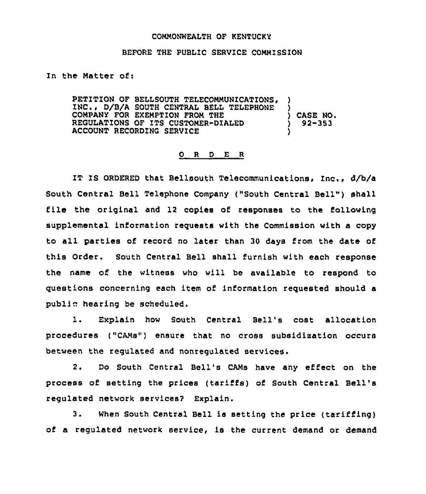## COMMONWEALTH OF KENTUCKY

## BEFORE THE PUBLIC SERVICE COMMISSION

## In the Matter of:

PETITION OF BELLSOUTH TELECOMMUNICATIONS, INC.. D/B/A SOUTH CENTRAL BELL TELEPHONE COMPANY FOR EXEMPTION FROM THE REGULATIONS OF ITS CUSTOMER-DIALED ACCOUNT RECORDINQ SERVICE ) ) ) CASE NO. ) 92-353 )

## 0 R <sup>D</sup> E R

IT IS ORDERED that Bellsouth Telecommunications, Inc., d/b/a South Central Bell Telephone Company ("South Central Bell") shall file the original and <sup>12</sup> copies of responses to the following supplemental information requests with the Commission with a copy to all parties of record no later than <sup>30</sup> days from the date of this Order. South Central Bell shall furnish with each response the name of the witness who will be available to respond to questions concerning each item of information requested should a public hearing be scheduled.

l. Explain how South Central Bell's cost allocation procedures ("CAMs"} ensure that no cross subsidization occurs between the regulated and nonregulated services.

2. Do South Central Bell's CAMs have any effect on the process of setting the prices {tariffs) of South Central Bell' regulated network services? Explain.

3. When South Central Bell is setting the price (tariffing) of a regulated network service, is the current demand or demand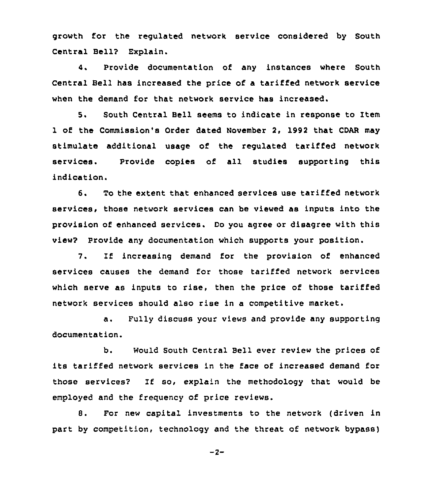growth for the regulated network service considered by South Central Bell? Explain.

4. Provide documentation of any instances where South Central Bell has increased the price of a tariffed network service when the demand for that network service has increased.

5. South Central Bell seems to indicate in response to Item 1 of the Commission's Order dated November 2, 1992 that CDAR may stimulate additional usage of the regulated tariffed network services. Provide copies of all studies supporting this indication.

6. To the extent that enhanced services use tariffed network services, those network services can be viewed as inputs into the provision of enhanced services. Do you agree or disagree with this view? Provide any documentation which supports your position.

7. If increasing demand for the provision of enhanced services causes the demand for those tariffed network services which serve as inputs to rise, then the price of those tariffed network services should also rise in a competitive market.

a. Fully discuss your views and provide any supporting documentation.

b. Would South Central Bell ever review the prices of its tariffed network services in the face of increased demand for those services? If so, explain the methodology that would be employed and the frequency of price reviews.

8. For new capital investments to the network (driven in part by competition, technology and the threat of network bypass)

 $-2-$